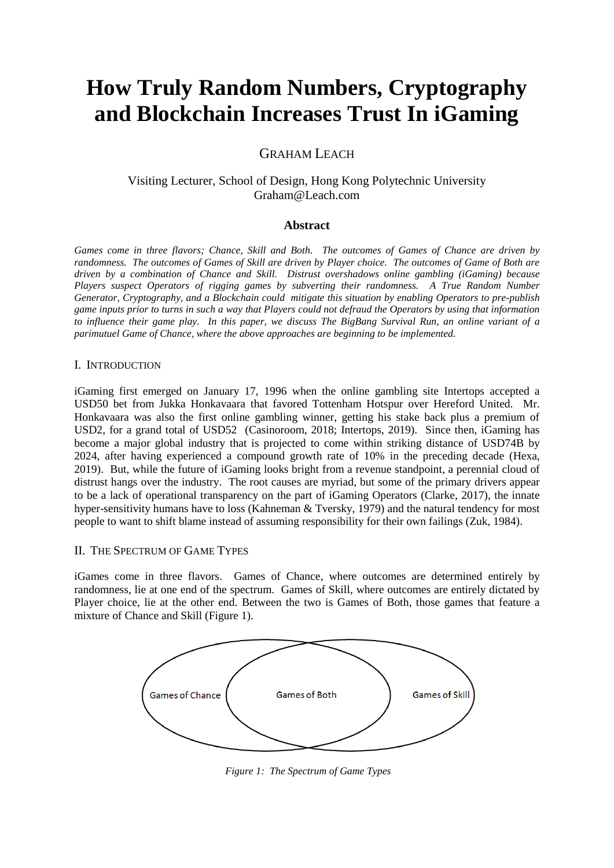# **How Truly Random Numbers, Cryptography and Blockchain Increases Trust In iGaming**

# GRAHAM LEACH

# Visiting Lecturer, School of Design, Hong Kong Polytechnic University Graham@Leach.com

### **Abstract**

*Games come in three flavors; Chance, Skill and Both. The outcomes of Games of Chance are driven by randomness. The outcomes of Games of Skill are driven by Player choice. The outcomes of Game of Both are driven by a combination of Chance and Skill. Distrust overshadows online gambling (iGaming) because Players suspect Operators of rigging games by subverting their randomness. A True Random Number Generator, Cryptography, and a Blockchain could mitigate this situation by enabling Operators to pre-publish game inputs prior to turns in such a way that Players could not defraud the Operators by using that information to influence their game play. In this paper, we discuss The BigBang Survival Run, an online variant of a parimutuel Game of Chance, where the above approaches are beginning to be implemented.*

#### I. INTRODUCTION

iGaming first emerged on January 17, 1996 when the online gambling site Intertops accepted a USD50 bet from Jukka Honkavaara that favored Tottenham Hotspur over Hereford United. Mr. Honkavaara was also the first online gambling winner, getting his stake back plus a premium of USD2, for a grand total of USD52 (Casinoroom, 2018; Intertops, 2019). Since then, iGaming has become a major global industry that is projected to come within striking distance of USD74B by 2024, after having experienced a compound growth rate of 10% in the preceding decade (Hexa, 2019). But, while the future of iGaming looks bright from a revenue standpoint, a perennial cloud of distrust hangs over the industry. The root causes are myriad, but some of the primary drivers appear to be a lack of operational transparency on the part of iGaming Operators (Clarke, 2017), the innate hyper-sensitivity humans have to loss (Kahneman & Tversky, 1979) and the natural tendency for most people to want to shift blame instead of assuming responsibility for their own failings (Zuk, 1984).

#### II. THE SPECTRUM OF GAME TYPES

iGames come in three flavors. Games of Chance, where outcomes are determined entirely by randomness, lie at one end of the spectrum. Games of Skill, where outcomes are entirely dictated by Player choice, lie at the other end. Between the two is Games of Both, those games that feature a mixture of Chance and Skill (Figure 1).



*Figure 1: The Spectrum of Game Types*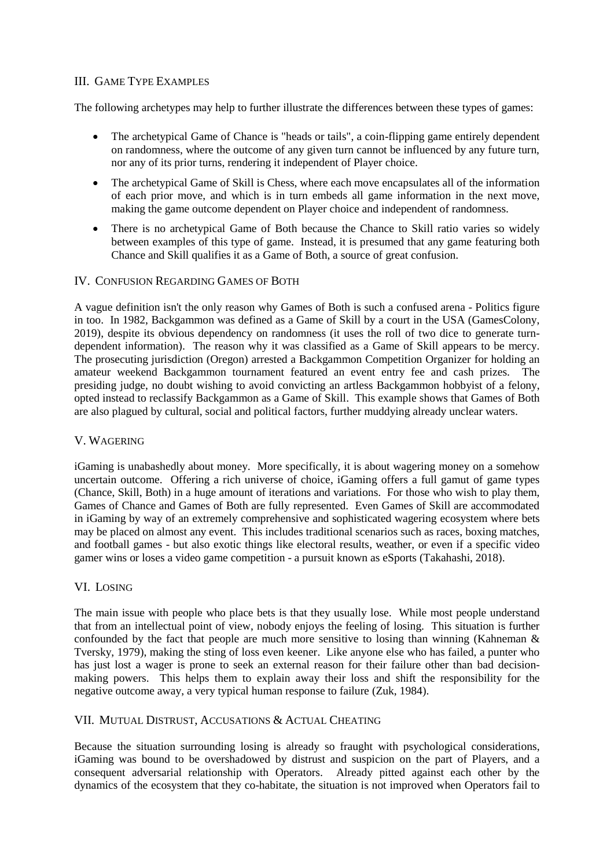### III. GAME TYPE EXAMPLES

The following archetypes may help to further illustrate the differences between these types of games:

- The archetypical Game of Chance is "heads or tails", a coin-flipping game entirely dependent on randomness, where the outcome of any given turn cannot be influenced by any future turn, nor any of its prior turns, rendering it independent of Player choice.
- The archetypical Game of Skill is Chess, where each move encapsulates all of the information of each prior move, and which is in turn embeds all game information in the next move, making the game outcome dependent on Player choice and independent of randomness.
- There is no archetypical Game of Both because the Chance to Skill ratio varies so widely between examples of this type of game. Instead, it is presumed that any game featuring both Chance and Skill qualifies it as a Game of Both, a source of great confusion.

### IV. CONFUSION REGARDING GAMES OF BOTH

A vague definition isn't the only reason why Games of Both is such a confused arena - Politics figure in too. In 1982, Backgammon was defined as a Game of Skill by a court in the USA (GamesColony, 2019), despite its obvious dependency on randomness (it uses the roll of two dice to generate turndependent information). The reason why it was classified as a Game of Skill appears to be mercy. The prosecuting jurisdiction (Oregon) arrested a Backgammon Competition Organizer for holding an amateur weekend Backgammon tournament featured an event entry fee and cash prizes. The presiding judge, no doubt wishing to avoid convicting an artless Backgammon hobbyist of a felony, opted instead to reclassify Backgammon as a Game of Skill. This example shows that Games of Both are also plagued by cultural, social and political factors, further muddying already unclear waters.

#### V. WAGERING

iGaming is unabashedly about money. More specifically, it is about wagering money on a somehow uncertain outcome. Offering a rich universe of choice, iGaming offers a full gamut of game types (Chance, Skill, Both) in a huge amount of iterations and variations. For those who wish to play them, Games of Chance and Games of Both are fully represented. Even Games of Skill are accommodated in iGaming by way of an extremely comprehensive and sophisticated wagering ecosystem where bets may be placed on almost any event. This includes traditional scenarios such as races, boxing matches, and football games - but also exotic things like electoral results, weather, or even if a specific video gamer wins or loses a video game competition - a pursuit known as eSports (Takahashi, 2018).

# VI. LOSING

The main issue with people who place bets is that they usually lose. While most people understand that from an intellectual point of view, nobody enjoys the feeling of losing. This situation is further confounded by the fact that people are much more sensitive to losing than winning (Kahneman & Tversky, 1979), making the sting of loss even keener. Like anyone else who has failed, a punter who has just lost a wager is prone to seek an external reason for their failure other than bad decisionmaking powers. This helps them to explain away their loss and shift the responsibility for the negative outcome away, a very typical human response to failure (Zuk, 1984).

# VII. MUTUAL DISTRUST, ACCUSATIONS & ACTUAL CHEATING

Because the situation surrounding losing is already so fraught with psychological considerations, iGaming was bound to be overshadowed by distrust and suspicion on the part of Players, and a consequent adversarial relationship with Operators. Already pitted against each other by the dynamics of the ecosystem that they co-habitate, the situation is not improved when Operators fail to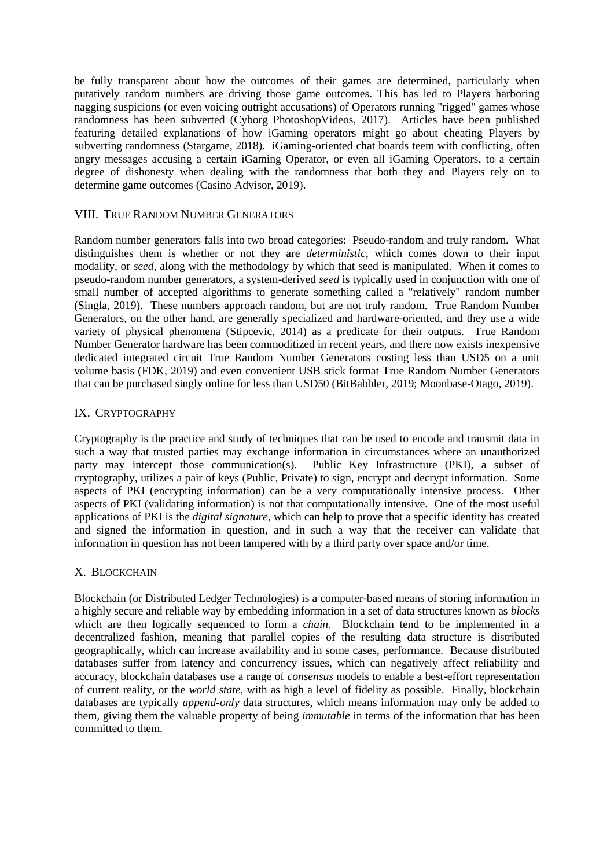be fully transparent about how the outcomes of their games are determined, particularly when putatively random numbers are driving those game outcomes. This has led to Players harboring nagging suspicions (or even voicing outright accusations) of Operators running "rigged" games whose randomness has been subverted (Cyborg PhotoshopVideos, 2017). Articles have been published featuring detailed explanations of how iGaming operators might go about cheating Players by subverting randomness (Stargame, 2018). iGaming-oriented chat boards teem with conflicting, often angry messages accusing a certain iGaming Operator, or even all iGaming Operators, to a certain degree of dishonesty when dealing with the randomness that both they and Players rely on to determine game outcomes (Casino Advisor, 2019).

#### VIII. TRUE RANDOM NUMBER GENERATORS

Random number generators falls into two broad categories: Pseudo-random and truly random. What distinguishes them is whether or not they are *deterministic*, which comes down to their input modality, or *seed*, along with the methodology by which that seed is manipulated. When it comes to pseudo-random number generators, a system-derived *seed* is typically used in conjunction with one of small number of accepted algorithms to generate something called a "relatively" random number (Singla, 2019). These numbers approach random, but are not truly random. True Random Number Generators, on the other hand, are generally specialized and hardware-oriented, and they use a wide variety of physical phenomena (Stipcevic, 2014) as a predicate for their outputs. True Random Number Generator hardware has been commoditized in recent years, and there now exists inexpensive dedicated integrated circuit True Random Number Generators costing less than USD5 on a unit volume basis (FDK, 2019) and even convenient USB stick format True Random Number Generators that can be purchased singly online for less than USD50 (BitBabbler, 2019; Moonbase-Otago, 2019).

### IX. CRYPTOGRAPHY

Cryptography is the practice and study of techniques that can be used to encode and transmit data in such a way that trusted parties may exchange information in circumstances where an unauthorized party may intercept those communication(s). Public Key Infrastructure (PKI), a subset of cryptography, utilizes a pair of keys (Public, Private) to sign, encrypt and decrypt information. Some aspects of PKI (encrypting information) can be a very computationally intensive process. Other aspects of PKI (validating information) is not that computationally intensive. One of the most useful applications of PKI is the *digital signature*, which can help to prove that a specific identity has created and signed the information in question, and in such a way that the receiver can validate that information in question has not been tampered with by a third party over space and/or time.

#### X. BLOCKCHAIN

Blockchain (or Distributed Ledger Technologies) is a computer-based means of storing information in a highly secure and reliable way by embedding information in a set of data structures known as *blocks* which are then logically sequenced to form a *chain*. Blockchain tend to be implemented in a decentralized fashion, meaning that parallel copies of the resulting data structure is distributed geographically, which can increase availability and in some cases, performance. Because distributed databases suffer from latency and concurrency issues, which can negatively affect reliability and accuracy, blockchain databases use a range of *consensus* models to enable a best-effort representation of current reality, or the *world state,* with as high a level of fidelity as possible. Finally, blockchain databases are typically *append-only* data structures, which means information may only be added to them, giving them the valuable property of being *immutable* in terms of the information that has been committed to them.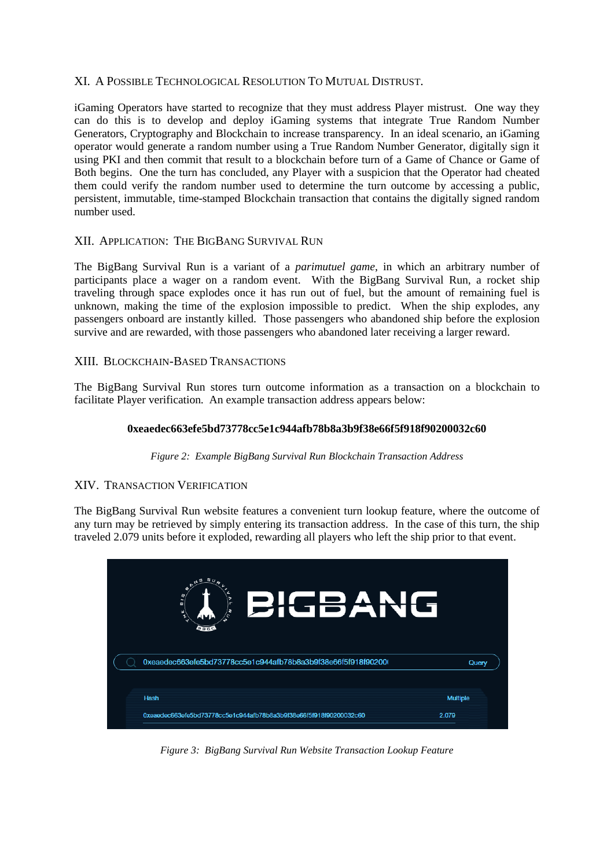### XI. A POSSIBLE TECHNOLOGICAL RESOLUTION TO MUTUAL DISTRUST.

iGaming Operators have started to recognize that they must address Player mistrust. One way they can do this is to develop and deploy iGaming systems that integrate True Random Number Generators, Cryptography and Blockchain to increase transparency. In an ideal scenario, an iGaming operator would generate a random number using a True Random Number Generator, digitally sign it using PKI and then commit that result to a blockchain before turn of a Game of Chance or Game of Both begins. One the turn has concluded, any Player with a suspicion that the Operator had cheated them could verify the random number used to determine the turn outcome by accessing a public, persistent, immutable, time-stamped Blockchain transaction that contains the digitally signed random number used.

# XII. APPLICATION: THE BIGBANG SURVIVAL RUN

The BigBang Survival Run is a variant of a *parimutuel game*, in which an arbitrary number of participants place a wager on a random event. With the BigBang Survival Run, a rocket ship traveling through space explodes once it has run out of fuel, but the amount of remaining fuel is unknown, making the time of the explosion impossible to predict. When the ship explodes, any passengers onboard are instantly killed. Those passengers who abandoned ship before the explosion survive and are rewarded, with those passengers who abandoned later receiving a larger reward.

#### XIII. BLOCKCHAIN-BASED TRANSACTIONS

The BigBang Survival Run stores turn outcome information as a transaction on a blockchain to facilitate Player verification. An example transaction address appears below:

#### **0xeaedec663efe5bd73778cc5e1c944afb78b8a3b9f38e66f5f918f90200032c60**

*Figure 2: Example BigBang Survival Run Blockchain Transaction Address*

#### XIV. TRANSACTION VERIFICATION

The BigBang Survival Run website features a convenient turn lookup feature, where the outcome of any turn may be retrieved by simply entering its transaction address. In the case of this turn, the ship traveled 2.079 units before it exploded, rewarding all players who left the ship prior to that event.



*Figure 3: BigBang Survival Run Website Transaction Lookup Feature*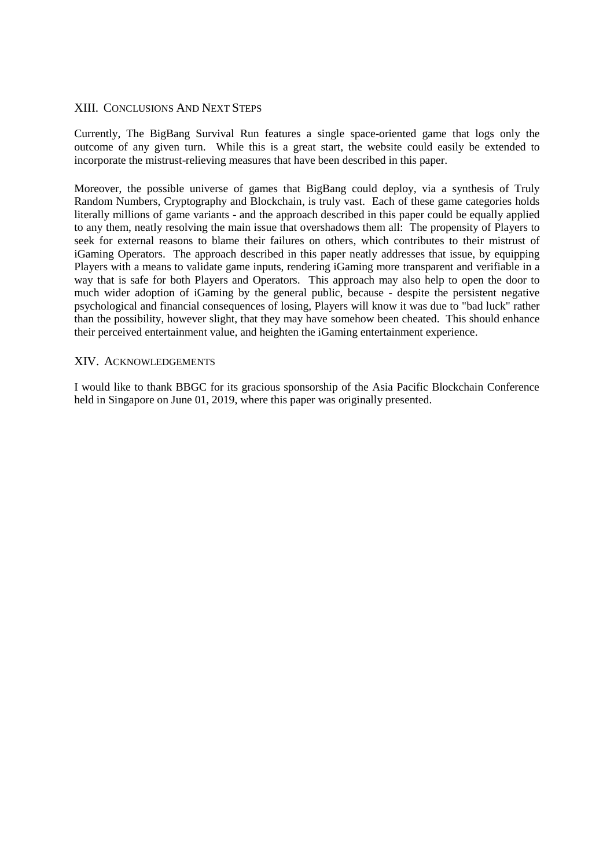#### XIII. CONCLUSIONS AND NEXT STEPS

Currently, The BigBang Survival Run features a single space-oriented game that logs only the outcome of any given turn. While this is a great start, the website could easily be extended to incorporate the mistrust-relieving measures that have been described in this paper.

Moreover, the possible universe of games that BigBang could deploy, via a synthesis of Truly Random Numbers, Cryptography and Blockchain, is truly vast. Each of these game categories holds literally millions of game variants - and the approach described in this paper could be equally applied to any them, neatly resolving the main issue that overshadows them all: The propensity of Players to seek for external reasons to blame their failures on others, which contributes to their mistrust of iGaming Operators. The approach described in this paper neatly addresses that issue, by equipping Players with a means to validate game inputs, rendering iGaming more transparent and verifiable in a way that is safe for both Players and Operators. This approach may also help to open the door to much wider adoption of iGaming by the general public, because - despite the persistent negative psychological and financial consequences of losing, Players will know it was due to "bad luck" rather than the possibility, however slight, that they may have somehow been cheated. This should enhance their perceived entertainment value, and heighten the iGaming entertainment experience.

#### XIV. ACKNOWLEDGEMENTS

I would like to thank BBGC for its gracious sponsorship of the Asia Pacific Blockchain Conference held in Singapore on June 01, 2019, where this paper was originally presented.